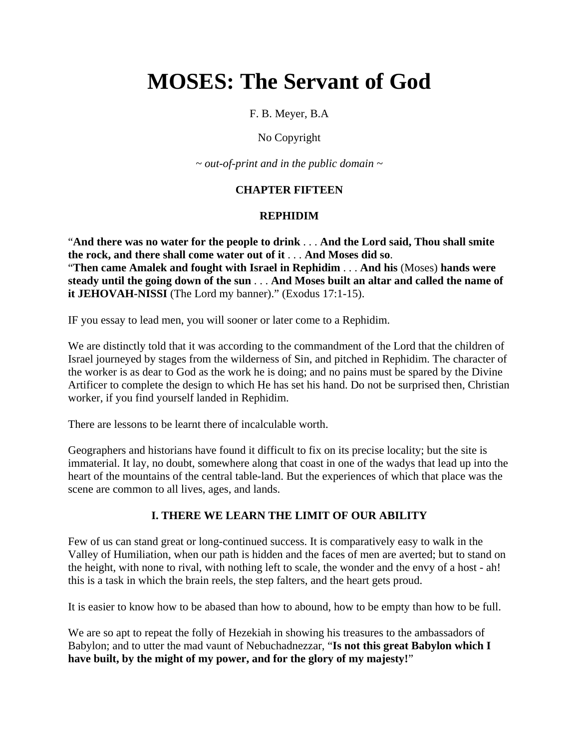# **MOSES: The Servant of God**

F. B. Meyer, B.A

#### No Copyright

*~ out-of-print and in the public domain ~* 

# **CHAPTER FIFTEEN**

#### **REPHIDIM**

"**And there was no water for the people to drink** . . . **And the Lord said, Thou shall smite the rock, and there shall come water out of it** . . . **And Moses did so**. "**Then came Amalek and fought with Israel in Rephidim** . . . **And his** (Moses) **hands were steady until the going down of the sun** . . . **And Moses built an altar and called the name of it JEHOVAH-NISSI** (The Lord my banner)." (Exodus 17:1-15).

IF you essay to lead men, you will sooner or later come to a Rephidim.

We are distinctly told that it was according to the commandment of the Lord that the children of Israel journeyed by stages from the wilderness of Sin, and pitched in Rephidim. The character of the worker is as dear to God as the work he is doing; and no pains must be spared by the Divine Artificer to complete the design to which He has set his hand. Do not be surprised then, Christian worker, if you find yourself landed in Rephidim.

There are lessons to be learnt there of incalculable worth.

Geographers and historians have found it difficult to fix on its precise locality; but the site is immaterial. It lay, no doubt, somewhere along that coast in one of the wadys that lead up into the heart of the mountains of the central table-land. But the experiences of which that place was the scene are common to all lives, ages, and lands.

# **I. THERE WE LEARN THE LIMIT OF OUR ABILITY**

Few of us can stand great or long-continued success. It is comparatively easy to walk in the Valley of Humiliation, when our path is hidden and the faces of men are averted; but to stand on the height, with none to rival, with nothing left to scale, the wonder and the envy of a host - ah! this is a task in which the brain reels, the step falters, and the heart gets proud.

It is easier to know how to be abased than how to abound, how to be empty than how to be full.

We are so apt to repeat the folly of Hezekiah in showing his treasures to the ambassadors of Babylon; and to utter the mad vaunt of Nebuchadnezzar, "**Is not this great Babylon which I have built, by the might of my power, and for the glory of my majesty!**"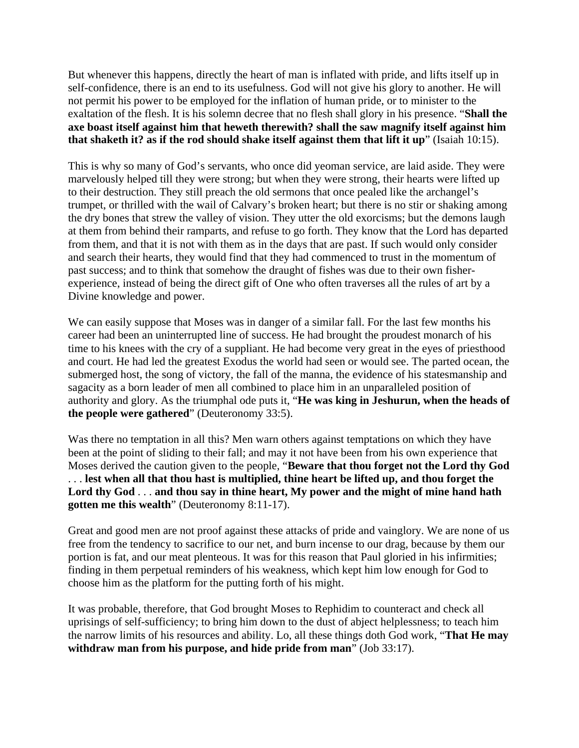But whenever this happens, directly the heart of man is inflated with pride, and lifts itself up in self-confidence, there is an end to its usefulness. God will not give his glory to another. He will not permit his power to be employed for the inflation of human pride, or to minister to the exaltation of the flesh. It is his solemn decree that no flesh shall glory in his presence. "**Shall the axe boast itself against him that heweth therewith? shall the saw magnify itself against him that shaketh it? as if the rod should shake itself against them that lift it up**" (Isaiah 10:15).

This is why so many of God's servants, who once did yeoman service, are laid aside. They were marvelously helped till they were strong; but when they were strong, their hearts were lifted up to their destruction. They still preach the old sermons that once pealed like the archangel's trumpet, or thrilled with the wail of Calvary's broken heart; but there is no stir or shaking among the dry bones that strew the valley of vision. They utter the old exorcisms; but the demons laugh at them from behind their ramparts, and refuse to go forth. They know that the Lord has departed from them, and that it is not with them as in the days that are past. If such would only consider and search their hearts, they would find that they had commenced to trust in the momentum of past success; and to think that somehow the draught of fishes was due to their own fisherexperience, instead of being the direct gift of One who often traverses all the rules of art by a Divine knowledge and power.

We can easily suppose that Moses was in danger of a similar fall. For the last few months his career had been an uninterrupted line of success. He had brought the proudest monarch of his time to his knees with the cry of a suppliant. He had become very great in the eyes of priesthood and court. He had led the greatest Exodus the world had seen or would see. The parted ocean, the submerged host, the song of victory, the fall of the manna, the evidence of his statesmanship and sagacity as a born leader of men all combined to place him in an unparalleled position of authority and glory. As the triumphal ode puts it, "**He was king in Jeshurun, when the heads of the people were gathered**" (Deuteronomy 33:5).

Was there no temptation in all this? Men warn others against temptations on which they have been at the point of sliding to their fall; and may it not have been from his own experience that Moses derived the caution given to the people, "**Beware that thou forget not the Lord thy God** . . . **lest when all that thou hast is multiplied, thine heart be lifted up, and thou forget the Lord thy God** . . . **and thou say in thine heart, My power and the might of mine hand hath gotten me this wealth**" (Deuteronomy 8:11-17).

Great and good men are not proof against these attacks of pride and vainglory. We are none of us free from the tendency to sacrifice to our net, and burn incense to our drag, because by them our portion is fat, and our meat plenteous. It was for this reason that Paul gloried in his infirmities; finding in them perpetual reminders of his weakness, which kept him low enough for God to choose him as the platform for the putting forth of his might.

It was probable, therefore, that God brought Moses to Rephidim to counteract and check all uprisings of self-sufficiency; to bring him down to the dust of abject helplessness; to teach him the narrow limits of his resources and ability. Lo, all these things doth God work, "**That He may withdraw man from his purpose, and hide pride from man**" (Job 33:17).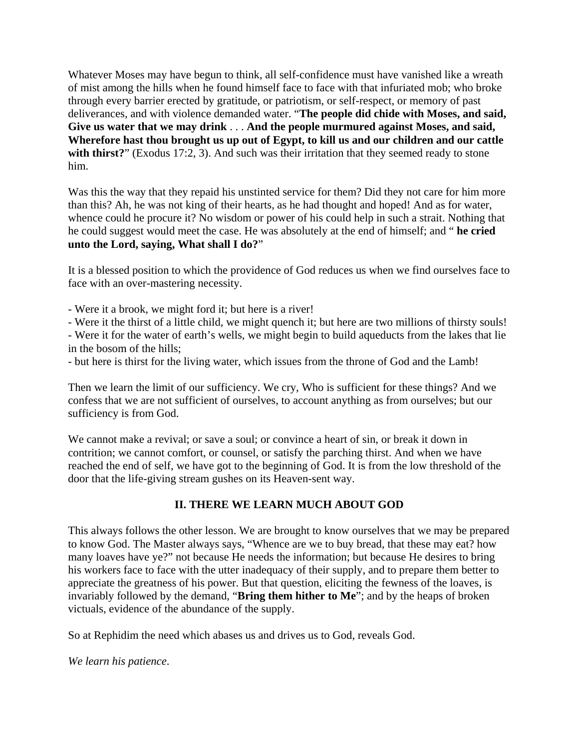Whatever Moses may have begun to think, all self-confidence must have vanished like a wreath of mist among the hills when he found himself face to face with that infuriated mob; who broke through every barrier erected by gratitude, or patriotism, or self-respect, or memory of past deliverances, and with violence demanded water. "**The people did chide with Moses, and said, Give us water that we may drink** . . . **And the people murmured against Moses, and said, Wherefore hast thou brought us up out of Egypt, to kill us and our children and our cattle**  with thirst?" (Exodus 17:2, 3). And such was their irritation that they seemed ready to stone him.

Was this the way that they repaid his unstinted service for them? Did they not care for him more than this? Ah, he was not king of their hearts, as he had thought and hoped! And as for water, whence could he procure it? No wisdom or power of his could help in such a strait. Nothing that he could suggest would meet the case. He was absolutely at the end of himself; and " **he cried unto the Lord, saying, What shall I do?**"

It is a blessed position to which the providence of God reduces us when we find ourselves face to face with an over-mastering necessity.

- Were it a brook, we might ford it; but here is a river!

- Were it the thirst of a little child, we might quench it; but here are two millions of thirsty souls!

- Were it for the water of earth's wells, we might begin to build aqueducts from the lakes that lie in the bosom of the hills;

- but here is thirst for the living water, which issues from the throne of God and the Lamb!

Then we learn the limit of our sufficiency. We cry, Who is sufficient for these things? And we confess that we are not sufficient of ourselves, to account anything as from ourselves; but our sufficiency is from God.

We cannot make a revival; or save a soul; or convince a heart of sin, or break it down in contrition; we cannot comfort, or counsel, or satisfy the parching thirst. And when we have reached the end of self, we have got to the beginning of God. It is from the low threshold of the door that the life-giving stream gushes on its Heaven-sent way.

# **II. THERE WE LEARN MUCH ABOUT GOD**

This always follows the other lesson. We are brought to know ourselves that we may be prepared to know God. The Master always says, "Whence are we to buy bread, that these may eat? how many loaves have ye?" not because He needs the information; but because He desires to bring his workers face to face with the utter inadequacy of their supply, and to prepare them better to appreciate the greatness of his power. But that question, eliciting the fewness of the loaves, is invariably followed by the demand, "**Bring them hither to Me**"; and by the heaps of broken victuals, evidence of the abundance of the supply.

So at Rephidim the need which abases us and drives us to God, reveals God.

*We learn his patience*.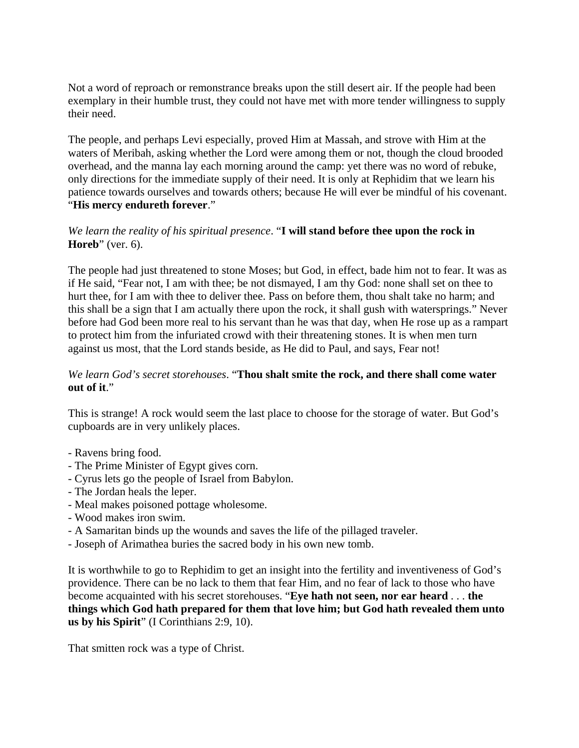Not a word of reproach or remonstrance breaks upon the still desert air. If the people had been exemplary in their humble trust, they could not have met with more tender willingness to supply their need.

The people, and perhaps Levi especially, proved Him at Massah, and strove with Him at the waters of Meribah, asking whether the Lord were among them or not, though the cloud brooded overhead, and the manna lay each morning around the camp: yet there was no word of rebuke, only directions for the immediate supply of their need. It is only at Rephidim that we learn his patience towards ourselves and towards others; because He will ever be mindful of his covenant. "**His mercy endureth forever**."

## *We learn the reality of his spiritual presence*. "**I will stand before thee upon the rock in Horeb**" (ver. 6).

The people had just threatened to stone Moses; but God, in effect, bade him not to fear. It was as if He said, "Fear not, I am with thee; be not dismayed, I am thy God: none shall set on thee to hurt thee, for I am with thee to deliver thee. Pass on before them, thou shalt take no harm; and this shall be a sign that I am actually there upon the rock, it shall gush with watersprings." Never before had God been more real to his servant than he was that day, when He rose up as a rampart to protect him from the infuriated crowd with their threatening stones. It is when men turn against us most, that the Lord stands beside, as He did to Paul, and says, Fear not!

# *We learn God's secret storehouses*. "**Thou shalt smite the rock, and there shall come water out of it**."

This is strange! A rock would seem the last place to choose for the storage of water. But God's cupboards are in very unlikely places.

- Ravens bring food.
- The Prime Minister of Egypt gives corn.
- Cyrus lets go the people of Israel from Babylon.
- The Jordan heals the leper.
- Meal makes poisoned pottage wholesome.
- Wood makes iron swim.
- A Samaritan binds up the wounds and saves the life of the pillaged traveler.
- Joseph of Arimathea buries the sacred body in his own new tomb.

It is worthwhile to go to Rephidim to get an insight into the fertility and inventiveness of God's providence. There can be no lack to them that fear Him, and no fear of lack to those who have become acquainted with his secret storehouses. "**Eye hath not seen, nor ear heard** . . . **the things which God hath prepared for them that love him; but God hath revealed them unto us by his Spirit**" (I Corinthians 2:9, 10).

That smitten rock was a type of Christ.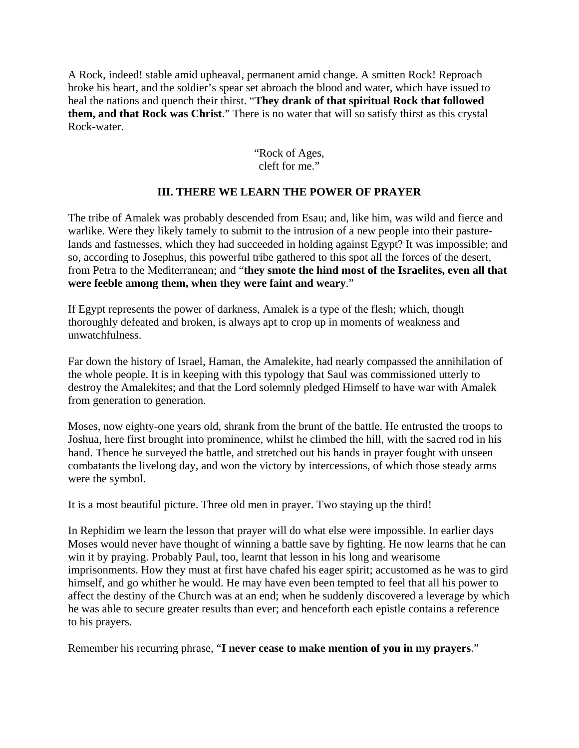A Rock, indeed! stable amid upheaval, permanent amid change. A smitten Rock! Reproach broke his heart, and the soldier's spear set abroach the blood and water, which have issued to heal the nations and quench their thirst. "**They drank of that spiritual Rock that followed them, and that Rock was Christ**." There is no water that will so satisfy thirst as this crystal Rock-water.

> "Rock of Ages, cleft for me."

# **III. THERE WE LEARN THE POWER OF PRAYER**

The tribe of Amalek was probably descended from Esau; and, like him, was wild and fierce and warlike. Were they likely tamely to submit to the intrusion of a new people into their pasturelands and fastnesses, which they had succeeded in holding against Egypt? It was impossible; and so, according to Josephus, this powerful tribe gathered to this spot all the forces of the desert, from Petra to the Mediterranean; and "**they smote the hind most of the Israelites, even all that were feeble among them, when they were faint and weary**."

If Egypt represents the power of darkness, Amalek is a type of the flesh; which, though thoroughly defeated and broken, is always apt to crop up in moments of weakness and unwatchfulness.

Far down the history of Israel, Haman, the Amalekite, had nearly compassed the annihilation of the whole people. It is in keeping with this typology that Saul was commissioned utterly to destroy the Amalekites; and that the Lord solemnly pledged Himself to have war with Amalek from generation to generation.

Moses, now eighty-one years old, shrank from the brunt of the battle. He entrusted the troops to Joshua, here first brought into prominence, whilst he climbed the hill, with the sacred rod in his hand. Thence he surveyed the battle, and stretched out his hands in prayer fought with unseen combatants the livelong day, and won the victory by intercessions, of which those steady arms were the symbol.

It is a most beautiful picture. Three old men in prayer. Two staying up the third!

In Rephidim we learn the lesson that prayer will do what else were impossible. In earlier days Moses would never have thought of winning a battle save by fighting. He now learns that he can win it by praying. Probably Paul, too, learnt that lesson in his long and wearisome imprisonments. How they must at first have chafed his eager spirit; accustomed as he was to gird himself, and go whither he would. He may have even been tempted to feel that all his power to affect the destiny of the Church was at an end; when he suddenly discovered a leverage by which he was able to secure greater results than ever; and henceforth each epistle contains a reference to his prayers.

Remember his recurring phrase, "**I never cease to make mention of you in my prayers**."